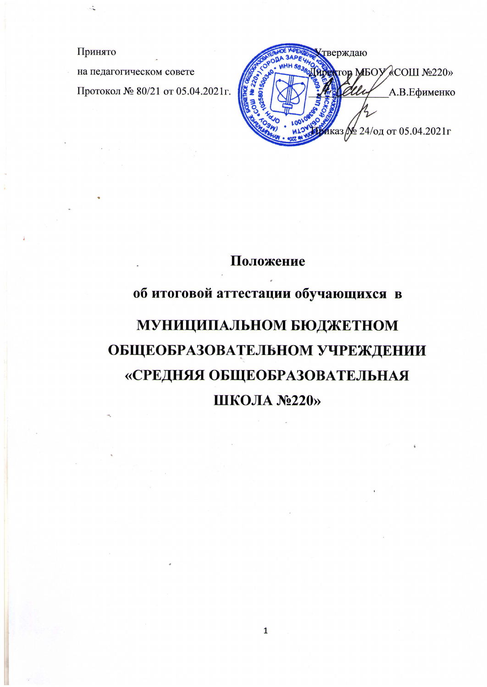# Принято

на педагогическом совете Протокол № 80/21 от 05.04.2021г.

тверждаю тор МБОУ «СОШ №220»  $\ddot{\bullet}$ А.В.Ефименко каз  $\int$  24/од от 05.04.2021 г

# Положение

# об итоговой аттестации обучающихся в МУНИЦИПАЛЬНОМ БЮДЖЕТНОМ ОБЩЕОБРАЗОВАТЕЛЬНОМ УЧРЕЖДЕНИИ «СРЕДНЯЯ ОБЩЕОБРАЗОВАТЕЛЬНАЯ ШКОЛА №220»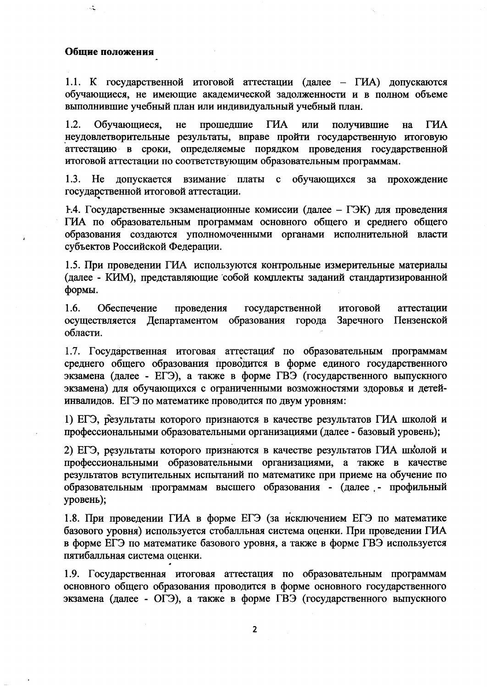#### Общие положения

 $\mathbb{R}^2$ 

1.1. К государственной итоговой аттестации (далее - ГИА) допускаются обучающиеся, не имеющие академической задолженности и в полном объеме выполнившие учебный план или индивидуальный учебный план.

 $1.2.$ прошедшие ГИА Обучающиеся, He ИЛИ получившие ГИА на неудовлетворительные результаты, вправе пройти государственную итоговую аттестацию в сроки, определяемые порядком проведения государственной итоговой аттестации по соответствующим образовательным программам.

 $1.3.$ He допускается взимание платы с обучающихся прохождение  $3a$ государственной итоговой аттестации.

1.4. Государственные экзаменационные комиссии (далее – ГЭК) для проведения ГИА по образовательным программам основного общего и среднего общего образования создаются уполномоченными органами исполнительной власти субъектов Российской Федерации.

1.5. При проведении ГИА используются контрольные измерительные материалы (далее - КИМ), представляющие собой комплекты заданий стандартизированной формы.

1.6. Обеспечение проведения государственной итоговой аттестации Департаментом образования города осуществляется Заречного Пензенской области.

1.7. Государственная итоговая аттестация по образовательным программам среднего общего образования проводится в форме единого государственного экзамена (далее - ЕГЭ), а также в форме ГВЭ (государственного выпускного экзамена) для обучающихся с ограниченными возможностями здоровья и детейинвалидов. ЕГЭ по математике проводится по двум уровням:

1) ЕГЭ, результаты которого признаются в качестве результатов ГИА школой и профессиональными образовательными организациями (далее - базовый уровень);

2) ЕГЭ, результаты которого признаются в качестве результатов ГИА школой и профессиональными образовательными организациями, а также в качестве результатов вступительных испытаний по математике при приеме на обучение по образовательным программам высшего образования - (далее - профильный уровень);

1.8. При проведении ГИА в форме ЕГЭ (за исключением ЕГЭ по математике базового уровня) используется стобалльная система оценки. При проведении ГИА в форме ЕГЭ по математике базового уровня, а также в форме ГВЭ используется пятибалльная система оценки.

1.9. Государственная итоговая аттестация по образовательным программам основного общего образования проводится в форме основного государственного экзамена (далее - ОГЭ), а также в форме ГВЭ (государственного выпускного

 $\overline{2}$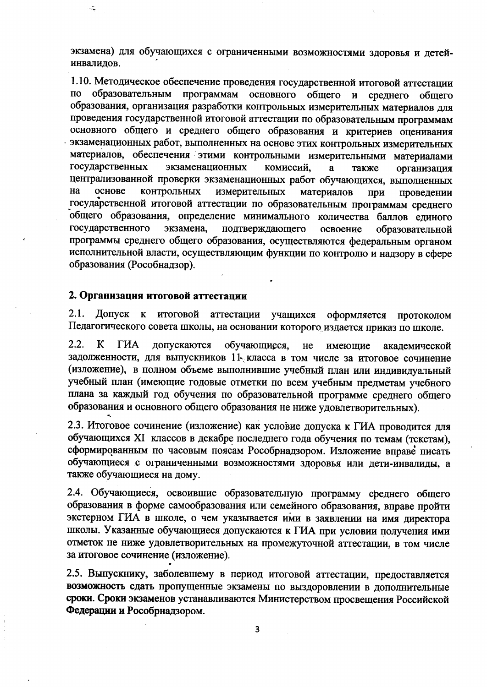экзамена) для обучающихся с ограниченными возможностями здоровья и детейинвалидов.

1.10. Методическое обеспечение проведения государственной итоговой аттестации образовательным программам основного общего  $\overline{a}$ и среднего обшего образования, организация разработки контрольных измерительных материалов для проведения государственной итоговой аттестации по образовательным программам основного общего и среднего общего образования и критериев оценивания экзаменационных работ, выполненных на основе этих контрольных измерительных материалов, обеспечения этими контрольными измерительными материалами государственных экзаменационных комиссий.  $\mathbf{a}$ также организация централизованной проверки экзаменационных работ обучающихся, выполненных основе контрольных на измерительных материалов при проведении государственной итоговой аттестации по образовательным программам среднего общего образования, определение минимального количества баллов единого государственного экзамена, подтверждающего освоение образовательной программы среднего общего образования, осуществляются федеральным органом исполнительной власти, осуществляющим функции по контролю и надзору в сфере образования (Рособнадзор).

# 2. Организация итоговой аттестации

 $\mathbb{R}^2$ 

 $2.1.$ Допуск к итоговой аттестации учащихся оформляется протоколом Педагогического совета школы, на основании которого издается приказ по школе.

 $2.2.$ K ГИА допускаются обучающиеся, He имеющие академической задолженности, для выпускников 11 класса в том числе за итоговое сочинение (изложение), в полном объеме выполнившие учебный план или индивидуальный учебный план (имеющие годовые отметки по всем учебным предметам учебного плана за каждый год обучения по образовательной программе среднего общего образования и основного общего образования не ниже удовлетворительных).

2.3. Итоговое сочинение (изложение) как условие допуска к ГИА проводится для обучающихся XI классов в декабре последнего года обучения по темам (текстам). сформированным по часовым поясам Рособрнадзором. Изложение вправе писать обучающиеся с ограниченными возможностями здоровья или дети-инвалиды, а также обучающиеся на дому.

2.4. Обучающиеся, освоившие образовательную программу среднего общего образования в форме самообразования или семейного образования, вправе пройти экстерном ГИА в школе, о чем указывается ими в заявлении на имя директора школы. Указанные обучающиеся допускаются к ГИА при условии получения ими отметок не ниже удовлетворительных на промежуточной аттестации, в том числе за итоговое сочинение (изложение).

2.5. Выпускнику, заболевшему в период итоговой аттестации, предоставляется возможность сдать пропущенные экзамены по выздоровлении в дополнительные сроки. Сроки экзаменов устанавливаются Министерством просвещения Российской Федерации и Рособрнадзором.

 $\overline{\mathbf{3}}$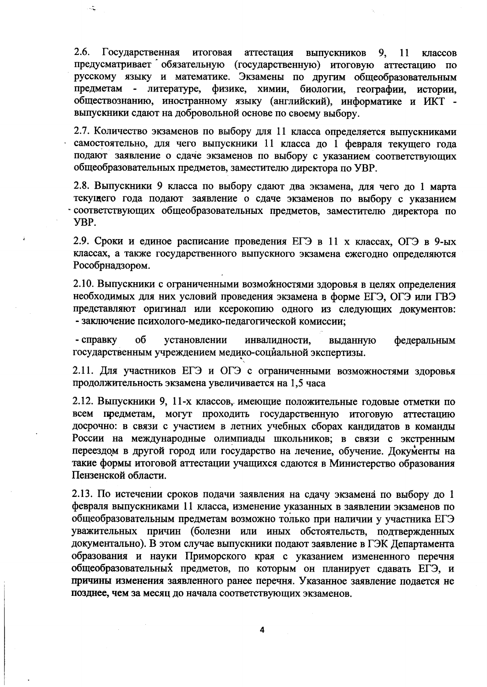$2.6.$ Государственная итоговая аттестация выпускников  $9.$ 11 классов предусматривает обязательную (государственную) итоговую аттестацию  $\overline{a}$ русскому языку и математике. Экзамены по другим общеобразовательным физике, химии, предметам - литературе, биологии, географии, истории, обществознанию, иностранному языку (английский), информатике и ИКТ выпускники сдают на добровольной основе по своему выбору.

 $\mathcal{L}$ 

2.7. Количество экзаменов по выбору для 11 класса определяется выпускниками самостоятельно, для чего выпускники 11 класса до 1 февраля текущего года подают заявление о сдаче экзаменов по выбору с указанием соответствующих общеобразовательных предметов, заместителю директора по УВР.

2.8. Выпускники 9 класса по выбору сдают два экзамена, для чего до 1 марта текущего года подают заявление о сдаче экзаменов по выбору с указанием соответствующих общеобразовательных предметов, заместителю директора по YBP.

2.9. Сроки и единое расписание проведения ЕГЭ в 11 х классах, ОГЭ в 9-ых классах, а также государственного выпускного экзамена ежегодно определяются Рособрнадзором.

2.10. Выпускники с ограниченными возможностями здоровья в целях определения необходимых для них условий проведения экзамена в форме ЕГЭ. ОГЭ или ГВЭ представляют оригинал или ксерокопию одного из следующих документов: - заключение психолого-медико-педагогической комиссии;

- справку об установлении инвалидности. выданную федеральным государственным учреждением медико-социальной экспертизы.

2.11. Для участников ЕГЭ и ОГЭ с ограниченными возможностями здоровья продолжительность экзамена увеличивается на 1,5 часа

2.12. Выпускники 9, 11-х классов, имеющие положительные годовые отметки по всем предметам, могут проходить государственную итоговую аттестацию досрочно: в связи с участием в летних учебных сборах кандидатов в команды России на международные олимпиады школьников; в связи с экстренным переездом в другой город или государство на лечение, обучение. Документы на такие формы итоговой аттестации учащихся сдаются в Министерство образования Пензенской области.

2.13. По истечении сроков подачи заявления на сдачу экзамена по выбору до 1 февраля выпускниками 11 класса, изменение указанных в заявлении экзаменов по общеобразовательным предметам возможно только при наличии у участника ЕГЭ уважительных причин (болезни или иных обстоятельств, подтвержденных документально). В этом случае выпускники подают заявление в ГЭК Департамента образования и науки Приморского края с указанием измененного перечня общеобразовательных предметов, по которым он планирует сдавать ЕГЭ, и причины изменения заявленного ранее перечня. Указанное заявление подается не позднее, чем за месяц до начала соответствующих экзаменов.

 $\overline{\mathbf{4}}$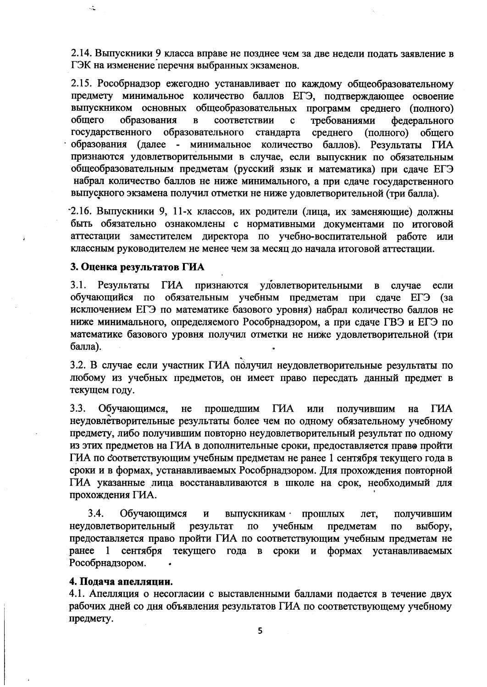2.14. Выпускники 9 класса вправе не позднее чем за две недели подать заявление в ГЭК на изменение перечня выбранных экзаменов.

2.15. Рособрнадзор ежегодно устанавливает по каждому общеобразовательному предмету минимальное количество баллов ЕГЭ, подтверждающее освоение выпускником основных общеобразовательных программ среднего (полного) общего образования соответствии требованиями фелерального  $\overline{B}$  $\mathbf{c}$ образовательного государственного стандарта среднего (полного) обшего образования (далее - минимальное количество баллов). Результаты ГИА признаются удовлетворительными в случае, если выпускник по обязательным общеобразовательным предметам (русский язык и математика) при слаче ЕГЭ набрал количество баллов не ниже минимального, а при сдаче государственного выпускного экзамена получил отметки не ниже удовлетворительной (три балла).

2.16. Выпускники 9, 11-х классов, их родители (лица, их заменяющие) должны быть обязательно ознакомлены с нормативными документами по итоговой аттестации заместителем директора по учебно-воспитательной работе или классным руководителем не менее чем за месяц до начала итоговой аттестации.

# 3. Оценка результатов ГИА

 $\ddot{\cdot}$ 

 $3.1.$ Результаты ГИА признаются удовлетворительными  $\mathbf{B}$ случае если обучающийся по обязательным учебным предметам при сдаче ЕГЭ (за исключением ЕГЭ по математике базового уровня) набрал количество баллов не ниже минимального, определяемого Рособрнадзором, а при сдаче ГВЭ и ЕГЭ по математике базового уровня получил отметки не ниже удовлетворительной (три балла).

3.2. В случае если участник ГИА получил неудовлетворительные результаты по любому из учебных предметов, он имеет право пересдать данный предмет в текущем году.

 $3.3.$ Обучающимся, He прошедшим ГИА ГИА или получившим на неудовлетворительные результаты более чем по одному обязательному учебному предмету, либо получившим повторно неудовлетворительный результат по одному из этих предметов на ГИА в дополнительные сроки, предоставляется право пройти ГИА по соответствующим учебным предметам не ранее 1 сентября текущего года в сроки и в формах, устанавливаемых Рособрнадзором. Для прохождения повторной ГИА указанные лица восстанавливаются в школе на срок, необходимый для прохождения ГИА.

3.4. Обучающимся выпускникам · получившим И прошлых лет, неудовлетворительный результат учебным  $\mathbf{u}$ предметам выбору.  $\overline{a}$ предоставляется право пройти ГИА по соответствующим учебным предметам не ранее 1 сентября текущего года в сроки и формах устанавливаемых Рособрнадзором.

# 4. Подача апелляции.

4.1. Апелляция о несогласии с выставленными баллами подается в течение двух рабочих дней со дня объявления результатов ГИА по соответствующему учебному предмету.

5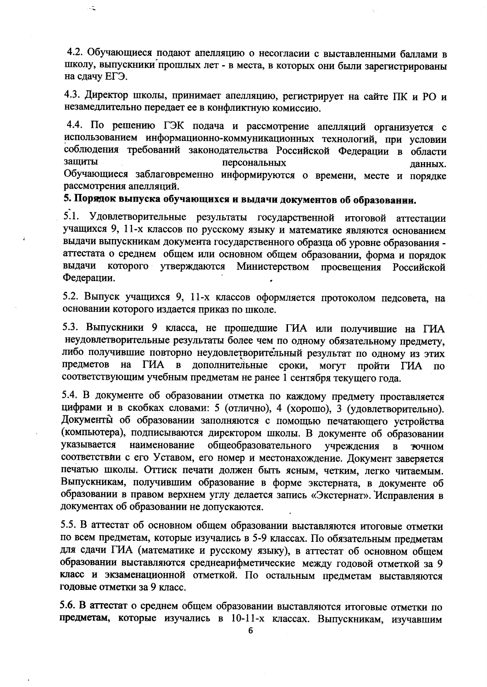4.2. Обучающиеся подают апелляцию о несогласии с выставленными баллами в школу, выпускники прошлых лет - в места, в которых они были зарегистрированы на сдачу ЕГЭ.

 $\mathcal{L}$ 

4.3. Директор школы, принимает апелляцию, регистрирует на сайте ПК и РО и незамедлительно передает ее в конфликтную комиссию.

4.4. По решению ГЭК подача и рассмотрение апелляций организуется с использованием информационно-коммуникационных технологий, при условии соблюдения требований законодательства Российской Федерации в области защиты персональных данных. Обучающиеся заблаговременно информируются о времени, месте и порядке рассмотрения апелляций.

5. Порядок выпуска обучающихся и выдачи документов об образовании.

5.1. Удовлетворительные результаты государственной итоговой аттестации учащихся 9, 11-х классов по русскому языку и математике являются основанием выдачи выпускникам документа государственного образца об уровне образования аттестата о среднем общем или основном общем образовании, форма и порядок которого утверждаются Министерством выдачи просвещения Российской Федерации.

5.2. Выпуск учащихся 9, 11-х классов оформляется протоколом педсовета, на основании которого издается приказ по школе.

5.3. Выпускники 9 класса, не прошедшие ГИА или получившие на ГИА неудовлетворительные результаты более чем по одному обязательному предмету, либо получившие повторно неудовлетворительный результат по одному из этих предметов на ГИА в дополнительные сроки, могут пройти ГИА  $\overline{10}$ соответствующим учебным предметам не ранее 1 сентября текущего года.

5.4. В документе об образовании отметка по каждому предмету проставляется цифрами и в скобках словами: 5 (отлично), 4 (хорошо), 3 (удовлетворительно). Документы об образовании заполняются с помощью печатающего устройства (компьютера), подписываются директором школы. В документе об образовании указывается наименование общеобразовательного учреждения  $\mathbf{B}$ точном соответствии с его Уставом, его номер и местонахождение. Документ заверяется печатью школы. Оттиск печати должен быть ясным, четким, легко читаемым. Выпускникам, получившим образование в форме экстерната, в документе об образовании в правом верхнем углу делается запись «Экстернат». Исправления в документах об образовании не допускаются.

5.5. В аттестат об основном общем образовании выставляются итоговые отметки по всем предметам, которые изучались в 5-9 классах. По обязательным предметам для сдачи ГИА (математике и русскому языку), в аттестат об основном общем образовании выставляются среднеарифметические между годовой отметкой за 9 класс и экзаменационной отметкой. По остальным предметам выставляются годовые отметки за 9 класс.

5.6. В аттестат о среднем общем образовании выставляются итоговые отметки по предметам, которые изучались в 10-11-х классах. Выпускникам, изучавшим

6